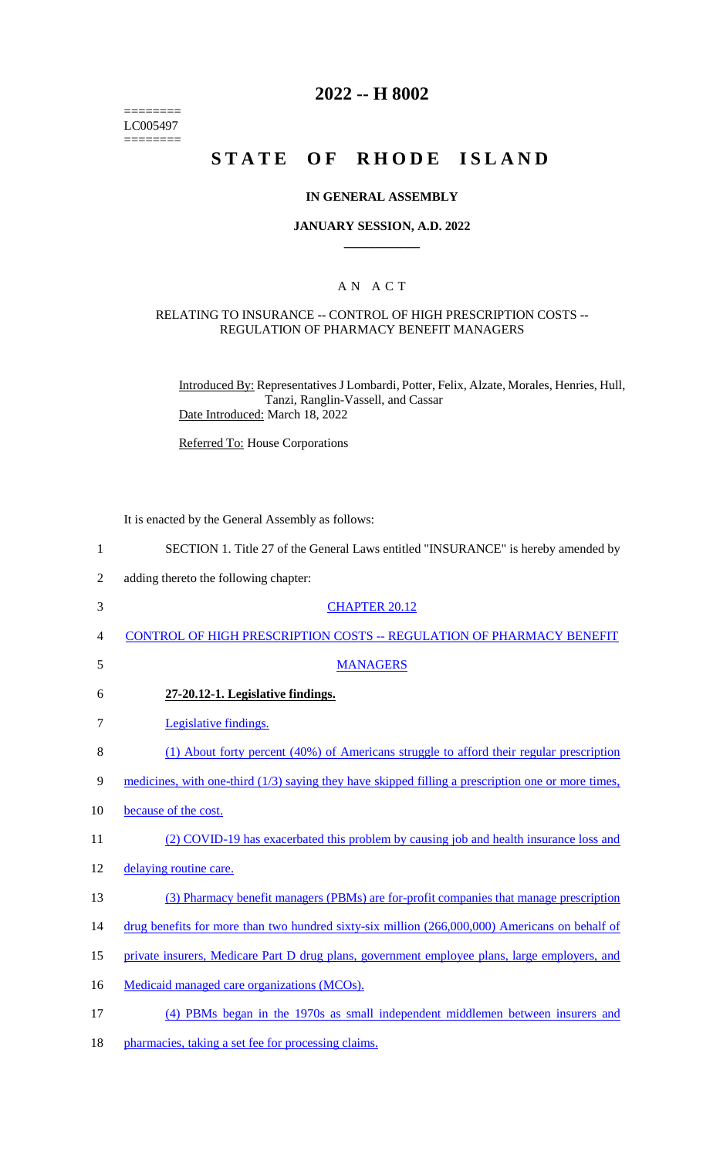======== LC005497  $=$ 

# **2022 -- H 8002**

# **STATE OF RHODE ISLAND**

#### **IN GENERAL ASSEMBLY**

#### **JANUARY SESSION, A.D. 2022 \_\_\_\_\_\_\_\_\_\_\_\_**

### A N A C T

#### RELATING TO INSURANCE -- CONTROL OF HIGH PRESCRIPTION COSTS -- REGULATION OF PHARMACY BENEFIT MANAGERS

Introduced By: Representatives J Lombardi, Potter, Felix, Alzate, Morales, Henries, Hull, Tanzi, Ranglin-Vassell, and Cassar Date Introduced: March 18, 2022

Referred To: House Corporations

It is enacted by the General Assembly as follows:

| 1  | SECTION 1. Title 27 of the General Laws entitled "INSURANCE" is hereby amended by                    |
|----|------------------------------------------------------------------------------------------------------|
| 2  | adding thereto the following chapter:                                                                |
| 3  | <b>CHAPTER 20.12</b>                                                                                 |
| 4  | <b>CONTROL OF HIGH PRESCRIPTION COSTS -- REGULATION OF PHARMACY BENEFIT</b>                          |
| 5  | <b>MANAGERS</b>                                                                                      |
| 6  | 27-20.12-1. Legislative findings.                                                                    |
| 7  | Legislative findings.                                                                                |
| 8  | (1) About forty percent (40%) of Americans struggle to afford their regular prescription             |
| 9  | medicines, with one-third $(1/3)$ saying they have skipped filling a prescription one or more times, |
| 10 | because of the cost.                                                                                 |
| 11 | (2) COVID-19 has exacerbated this problem by causing job and health insurance loss and               |
| 12 | delaying routine care.                                                                               |
| 13 | (3) Pharmacy benefit managers (PBMs) are for-profit companies that manage prescription               |
| 14 | drug benefits for more than two hundred sixty-six million (266,000,000) Americans on behalf of       |
| 15 | private insurers, Medicare Part D drug plans, government employee plans, large employers, and        |
| 16 | Medicaid managed care organizations (MCOs).                                                          |
| 17 | (4) PBMs began in the 1970s as small independent middlemen between insurers and                      |

18 pharmacies, taking a set fee for processing claims.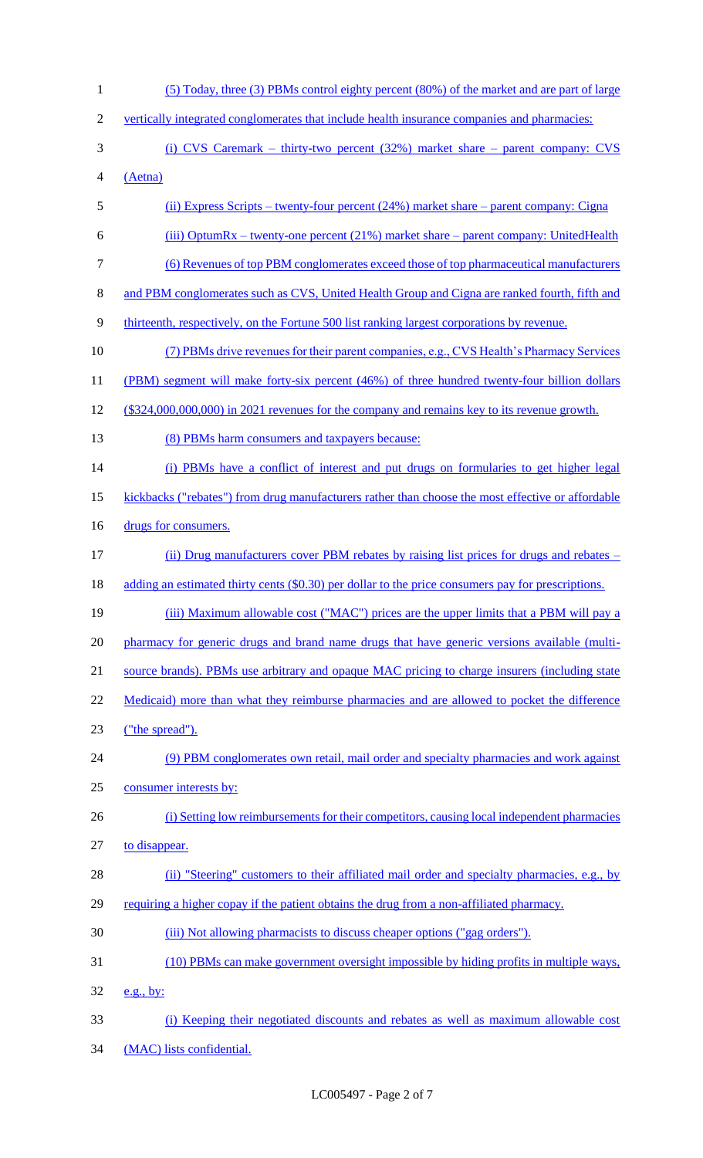1 (5) Today, three (3) PBMs control eighty percent (80%) of the market and are part of large 2 vertically integrated conglomerates that include health insurance companies and pharmacies: 3 (i) CVS Caremark – thirty-two percent (32%) market share – parent company: CVS 4 (Aetna) 5 (ii) Express Scripts – twenty-four percent (24%) market share – parent company: Cigna 6 (iii) OptumRx – twenty-one percent (21%) market share – parent company: UnitedHealth 7 (6) Revenues of top PBM conglomerates exceed those of top pharmaceutical manufacturers 8 and PBM conglomerates such as CVS, United Health Group and Cigna are ranked fourth, fifth and 9 thirteenth, respectively, on the Fortune 500 list ranking largest corporations by revenue. 10 (7) PBMs drive revenues for their parent companies, e.g., CVS Health's Pharmacy Services 11 (PBM) segment will make forty-six percent (46%) of three hundred twenty-four billion dollars 12 (\$324,000,000,000) in 2021 revenues for the company and remains key to its revenue growth. 13 (8) PBMs harm consumers and taxpayers because: 14 (i) PBMs have a conflict of interest and put drugs on formularies to get higher legal 15 kickbacks ("rebates") from drug manufacturers rather than choose the most effective or affordable 16 drugs for consumers. 17 (ii) Drug manufacturers cover PBM rebates by raising list prices for drugs and rebates – 18 adding an estimated thirty cents (\$0.30) per dollar to the price consumers pay for prescriptions. 19 (iii) Maximum allowable cost ("MAC") prices are the upper limits that a PBM will pay a 20 pharmacy for generic drugs and brand name drugs that have generic versions available (multi-21 source brands). PBMs use arbitrary and opaque MAC pricing to charge insurers (including state 22 Medicaid) more than what they reimburse pharmacies and are allowed to pocket the difference 23 ("the spread"). 24 (9) PBM conglomerates own retail, mail order and specialty pharmacies and work against 25 consumer interests by: 26 (i) Setting low reimbursements for their competitors, causing local independent pharmacies 27 to disappear. 28 (ii) "Steering" customers to their affiliated mail order and specialty pharmacies, e.g., by 29 requiring a higher copay if the patient obtains the drug from a non-affiliated pharmacy. 30 (iii) Not allowing pharmacists to discuss cheaper options ("gag orders"). 31 (10) PBMs can make government oversight impossible by hiding profits in multiple ways, 32 e.g., by: 33 (i) Keeping their negotiated discounts and rebates as well as maximum allowable cost 34 (MAC) lists confidential.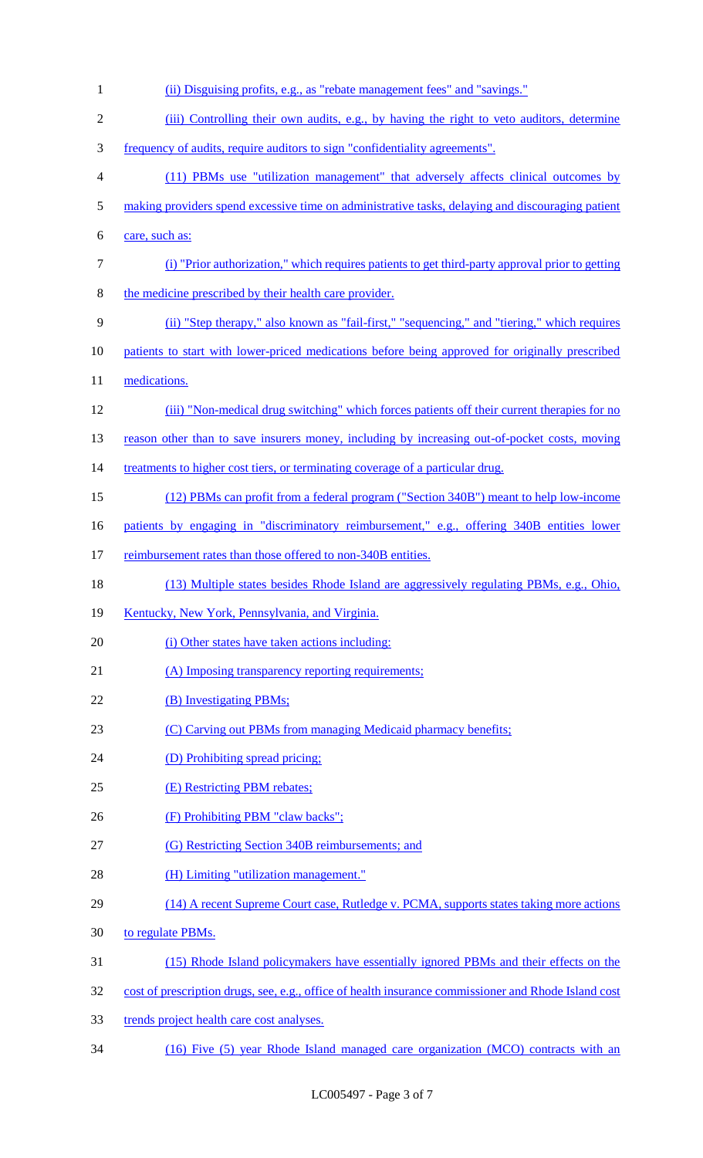| (ii) Disguising profits, e.g., as "rebate management fees" and "savings."                            |
|------------------------------------------------------------------------------------------------------|
| (iii) Controlling their own audits, e.g., by having the right to veto auditors, determine            |
| frequency of audits, require auditors to sign "confidentiality agreements".                          |
| (11) PBMs use "utilization management" that adversely affects clinical outcomes by                   |
| making providers spend excessive time on administrative tasks, delaying and discouraging patient     |
| care, such as:                                                                                       |
| (i) "Prior authorization," which requires patients to get third-party approval prior to getting      |
| the medicine prescribed by their health care provider.                                               |
| (ii) "Step therapy," also known as "fail-first," "sequencing," and "tiering," which requires         |
| patients to start with lower-priced medications before being approved for originally prescribed      |
| medications.                                                                                         |
| (iii) "Non-medical drug switching" which forces patients off their current therapies for no          |
| reason other than to save insurers money, including by increasing out-of-pocket costs, moving        |
| treatments to higher cost tiers, or terminating coverage of a particular drug.                       |
| (12) PBMs can profit from a federal program ("Section 340B") meant to help low-income                |
| patients by engaging in "discriminatory reimbursement," e.g., offering 340B entities lower           |
| reimbursement rates than those offered to non-340B entities.                                         |
| (13) Multiple states besides Rhode Island are aggressively regulating PBMs, e.g., Ohio,              |
| Kentucky, New York, Pennsylvania, and Virginia.                                                      |
| (i) Other states have taken actions including:                                                       |
| (A) Imposing transparency reporting requirements;                                                    |
| (B) Investigating PBMs;                                                                              |
| (C) Carving out PBMs from managing Medicaid pharmacy benefits;                                       |
| (D) Prohibiting spread pricing;                                                                      |
| (E) Restricting PBM rebates;                                                                         |
| (F) Prohibiting PBM "claw backs";                                                                    |
| (G) Restricting Section 340B reimbursements; and                                                     |
| (H) Limiting "utilization management."                                                               |
| (14) A recent Supreme Court case, Rutledge v. PCMA, supports states taking more actions              |
| to regulate PBMs.                                                                                    |
| (15) Rhode Island policymakers have essentially ignored PBMs and their effects on the                |
| cost of prescription drugs, see, e.g., office of health insurance commissioner and Rhode Island cost |
| trends project health care cost analyses.                                                            |
|                                                                                                      |

34 (16) Five (5) year Rhode Island managed care organization (MCO) contracts with an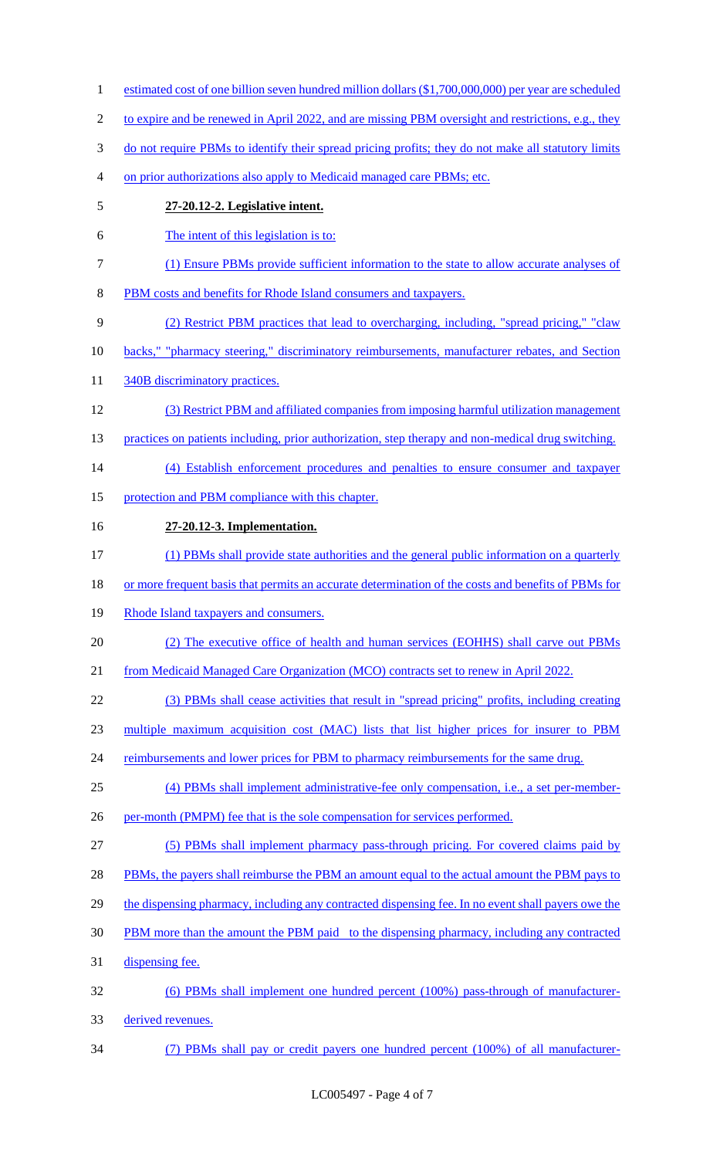1 estimated cost of one billion seven hundred million dollars (\$1,700,000,000) per year are scheduled 2 to expire and be renewed in April 2022, and are missing PBM oversight and restrictions, e.g., they do not require PBMs to identify their spread pricing profits; they do not make all statutory limits on prior authorizations also apply to Medicaid managed care PBMs; etc. **27-20.12-2. Legislative intent.** The intent of this legislation is to: (1) Ensure PBMs provide sufficient information to the state to allow accurate analyses of PBM costs and benefits for Rhode Island consumers and taxpayers. (2) Restrict PBM practices that lead to overcharging, including, "spread pricing," "claw 10 backs," "pharmacy steering," discriminatory reimbursements, manufacturer rebates, and Section 11 340B discriminatory practices. (3) Restrict PBM and affiliated companies from imposing harmful utilization management 13 practices on patients including, prior authorization, step therapy and non-medical drug switching. (4) Establish enforcement procedures and penalties to ensure consumer and taxpayer 15 protection and PBM compliance with this chapter. **27-20.12-3. Implementation.** (1) PBMs shall provide state authorities and the general public information on a quarterly 18 or more frequent basis that permits an accurate determination of the costs and benefits of PBMs for 19 Rhode Island taxpayers and consumers. (2) The executive office of health and human services (EOHHS) shall carve out PBMs from Medicaid Managed Care Organization (MCO) contracts set to renew in April 2022. (3) PBMs shall cease activities that result in "spread pricing" profits, including creating multiple maximum acquisition cost (MAC) lists that list higher prices for insurer to PBM 24 reimbursements and lower prices for PBM to pharmacy reimbursements for the same drug. (4) PBMs shall implement administrative-fee only compensation, i.e., a set per-member-26 per-month (PMPM) fee that is the sole compensation for services performed. (5) PBMs shall implement pharmacy pass-through pricing. For covered claims paid by 28 PBMs, the payers shall reimburse the PBM an amount equal to the actual amount the PBM pays to 29 the dispensing pharmacy, including any contracted dispensing fee. In no event shall payers owe the PBM more than the amount the PBM paid to the dispensing pharmacy, including any contracted dispensing fee. (6) PBMs shall implement one hundred percent (100%) pass-through of manufacturer- derived revenues. (7) PBMs shall pay or credit payers one hundred percent (100%) of all manufacturer-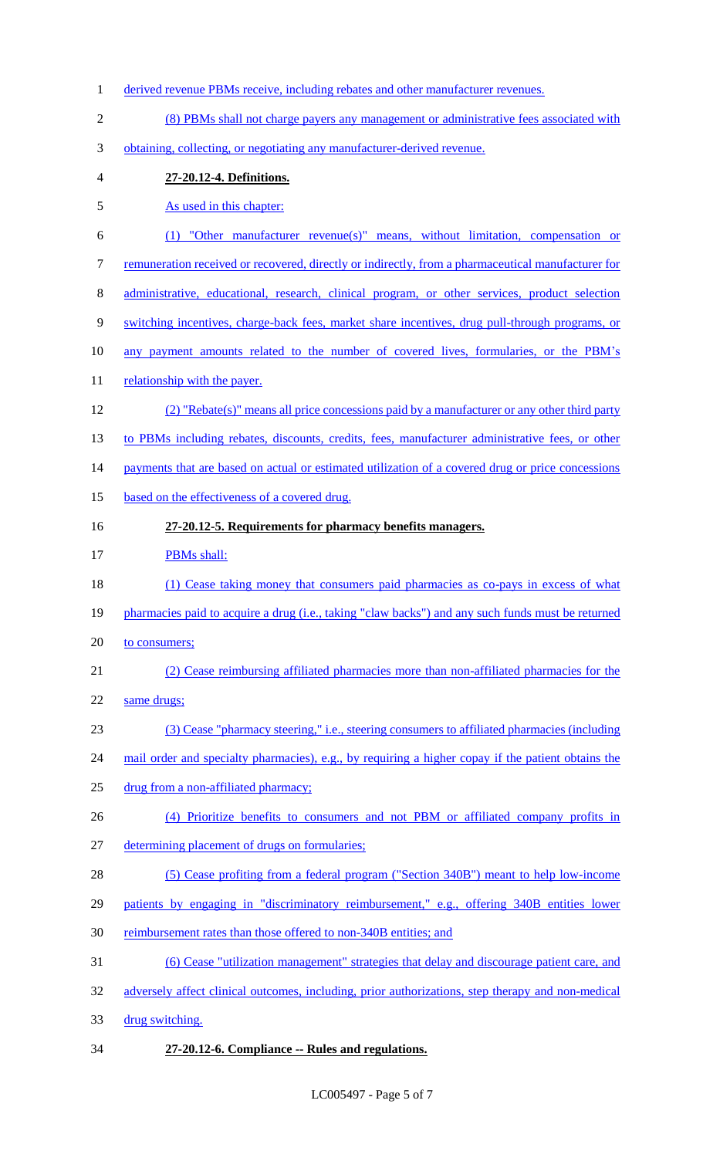- derived revenue PBMs receive, including rebates and other manufacturer revenues.
- (8) PBMs shall not charge payers any management or administrative fees associated with
- obtaining, collecting, or negotiating any manufacturer-derived revenue.
- **27-20.12-4. Definitions.**
- As used in this chapter:
- (1) "Other manufacturer revenue(s)" means, without limitation, compensation or
- remuneration received or recovered, directly or indirectly, from a pharmaceutical manufacturer for
- administrative, educational, research, clinical program, or other services, product selection
- switching incentives, charge-back fees, market share incentives, drug pull-through programs, or
- 10 any payment amounts related to the number of covered lives, formularies, or the PBM's
- 11 relationship with the payer.
- (2) "Rebate(s)" means all price concessions paid by a manufacturer or any other third party
- 13 to PBMs including rebates, discounts, credits, fees, manufacturer administrative fees, or other
- 14 payments that are based on actual or estimated utilization of a covered drug or price concessions
- 15 based on the effectiveness of a covered drug.
- **27-20.12-5. Requirements for pharmacy benefits managers.**

## **PBMs shall:**

- (1) Cease taking money that consumers paid pharmacies as co-pays in excess of what
- 19 pharmacies paid to acquire a drug (i.e., taking "claw backs") and any such funds must be returned
- 20 to consumers;
- (2) Cease reimbursing affiliated pharmacies more than non-affiliated pharmacies for the
- same drugs;
- (3) Cease "pharmacy steering," i.e., steering consumers to affiliated pharmacies (including
- 24 mail order and specialty pharmacies), e.g., by requiring a higher copay if the patient obtains the
- drug from a non-affiliated pharmacy;
- (4) Prioritize benefits to consumers and not PBM or affiliated company profits in
- determining placement of drugs on formularies;
- (5) Cease profiting from a federal program ("Section 340B") meant to help low-income
- patients by engaging in "discriminatory reimbursement," e.g., offering 340B entities lower
- 30 reimbursement rates than those offered to non-340B entities; and
- (6) Cease "utilization management" strategies that delay and discourage patient care, and
- adversely affect clinical outcomes, including, prior authorizations, step therapy and non-medical
- drug switching.
- **27-20.12-6. Compliance -- Rules and regulations.**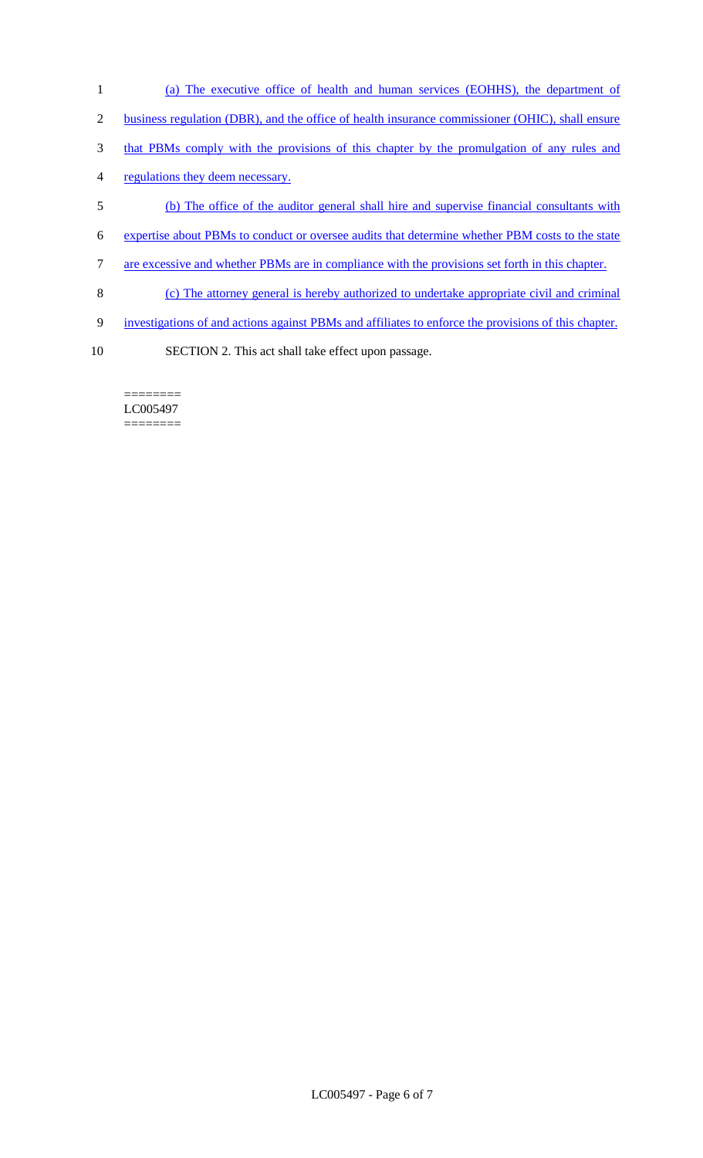- 1 (a) The executive office of health and human services (EOHHS), the department of
- 2 business regulation (DBR), and the office of health insurance commissioner (OHIC), shall ensure
- 3 that PBMs comply with the provisions of this chapter by the promulgation of any rules and
- 4 regulations they deem necessary.
- 5 (b) The office of the auditor general shall hire and supervise financial consultants with
- 6 expertise about PBMs to conduct or oversee audits that determine whether PBM costs to the state
- 7 are excessive and whether PBMs are in compliance with the provisions set forth in this chapter.
- 8 (c) The attorney general is hereby authorized to undertake appropriate civil and criminal
- 9 investigations of and actions against PBMs and affiliates to enforce the provisions of this chapter.
- 10 SECTION 2. This act shall take effect upon passage.

======== LC005497 ========